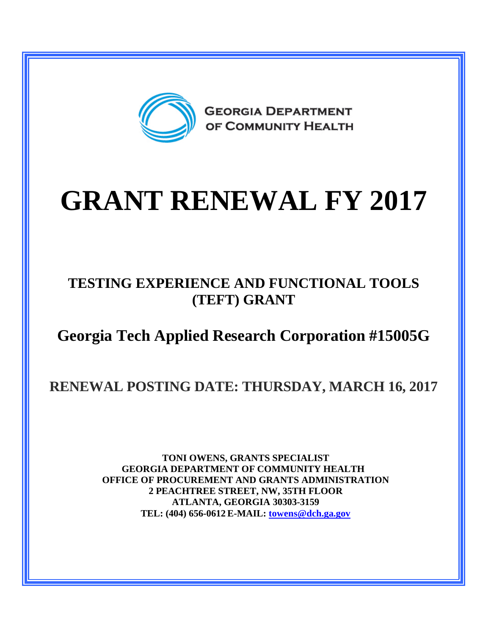

# **GRANT RENEWAL FY 2017**

### **TESTING EXPERIENCE AND FUNCTIONAL TOOLS (TEFT) GRANT**

## **Georgia Tech Applied Research Corporation #15005G**

## **RENEWAL POSTING DATE: THURSDAY, MARCH 16, 2017**

**TONI OWENS, GRANTS SPECIALIST GEORGIA DEPARTMENT OF COMMUNITY HEALTH OFFICE OF PROCUREMENT AND GRANTS ADMINISTRATION 2 PEACHTREE STREET, NW, 35TH FLOOR ATLANTA, GEORGIA 30303-3159 TEL: (404) 656-0612 E-MAIL: [towens@dch.ga.gov](mailto:towens@dch.ga.gov)**